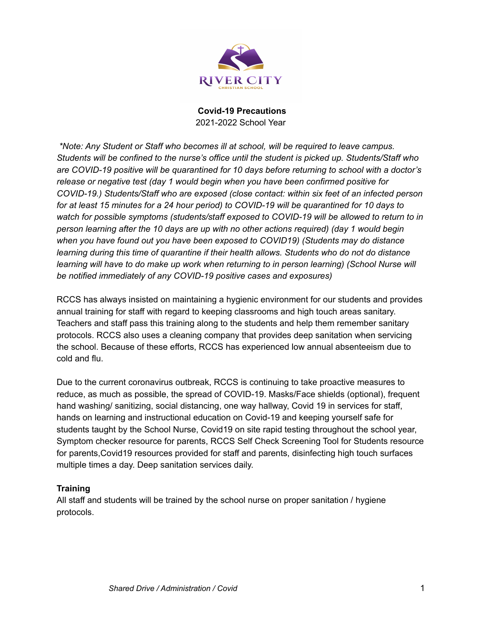

*\*Note: Any Student or Staff who becomes ill at school, will be required to leave campus. Students will be confined to the nurse's office until the student is picked up. Students/Staff who are COVID-19 positive will be quarantined for 10 days before returning to school with a doctor's release or negative test (day 1 would begin when you have been confirmed positive for COVID-19.) Students/Staff who are exposed (close contact: within six feet of an infected person* for at least 15 minutes for a 24 hour period) to COVID-19 will be quarantined for 10 days to *watch for possible symptoms (students/staff exposed to COVID-19 will be allowed to return to in person learning after the 10 days are up with no other actions required) (day 1 would begin when you have found out you have been exposed to COVID19) (Students may do distance learning during this time of quarantine if their health allows. Students who do not do distance learning will have to do make up work when returning to in person learning) (School Nurse will be notified immediately of any COVID-19 positive cases and exposures)*

RCCS has always insisted on maintaining a hygienic environment for our students and provides annual training for staff with regard to keeping classrooms and high touch areas sanitary. Teachers and staff pass this training along to the students and help them remember sanitary protocols. RCCS also uses a cleaning company that provides deep sanitation when servicing the school. Because of these efforts, RCCS has experienced low annual absenteeism due to cold and flu.

Due to the current coronavirus outbreak, RCCS is continuing to take proactive measures to reduce, as much as possible, the spread of COVID-19. Masks/Face shields (optional), frequent hand washing/ sanitizing, social distancing, one way hallway, Covid 19 in services for staff, hands on learning and instructional education on Covid-19 and keeping yourself safe for students taught by the School Nurse, Covid19 on site rapid testing throughout the school year, Symptom checker resource for parents, RCCS Self Check Screening Tool for Students resource for parents,Covid19 resources provided for staff and parents, disinfecting high touch surfaces multiple times a day. Deep sanitation services daily.

# **Training**

All staff and students will be trained by the school nurse on proper sanitation / hygiene protocols.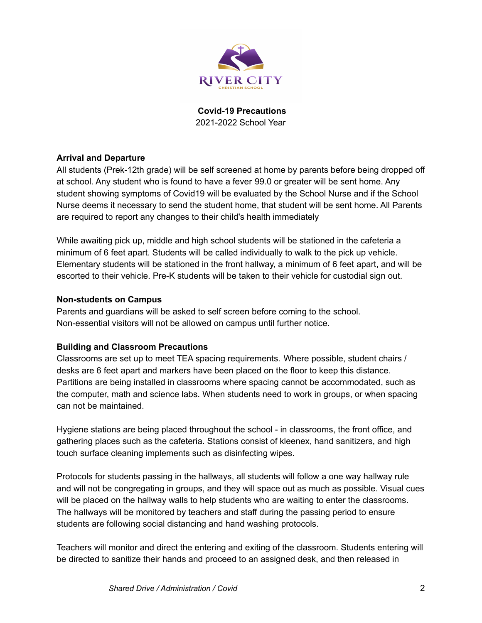

# **Arrival and Departure**

All students (Prek-12th grade) will be self screened at home by parents before being dropped off at school. Any student who is found to have a fever 99.0 or greater will be sent home. Any student showing symptoms of Covid19 will be evaluated by the School Nurse and if the School Nurse deems it necessary to send the student home, that student will be sent home. All Parents are required to report any changes to their child's health immediately

While awaiting pick up, middle and high school students will be stationed in the cafeteria a minimum of 6 feet apart. Students will be called individually to walk to the pick up vehicle. Elementary students will be stationed in the front hallway, a minimum of 6 feet apart, and will be escorted to their vehicle. Pre-K students will be taken to their vehicle for custodial sign out.

#### **Non-students on Campus**

Parents and guardians will be asked to self screen before coming to the school. Non-essential visitors will not be allowed on campus until further notice.

#### **Building and Classroom Precautions**

Classrooms are set up to meet TEA spacing requirements. Where possible, student chairs / desks are 6 feet apart and markers have been placed on the floor to keep this distance. Partitions are being installed in classrooms where spacing cannot be accommodated, such as the computer, math and science labs. When students need to work in groups, or when spacing can not be maintained.

Hygiene stations are being placed throughout the school - in classrooms, the front office, and gathering places such as the cafeteria. Stations consist of kleenex, hand sanitizers, and high touch surface cleaning implements such as disinfecting wipes.

Protocols for students passing in the hallways, all students will follow a one way hallway rule and will not be congregating in groups, and they will space out as much as possible. Visual cues will be placed on the hallway walls to help students who are waiting to enter the classrooms. The hallways will be monitored by teachers and staff during the passing period to ensure students are following social distancing and hand washing protocols.

Teachers will monitor and direct the entering and exiting of the classroom. Students entering will be directed to sanitize their hands and proceed to an assigned desk, and then released in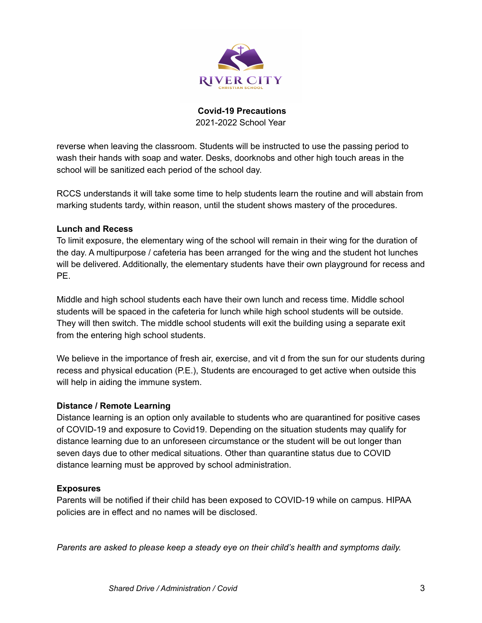

reverse when leaving the classroom. Students will be instructed to use the passing period to wash their hands with soap and water. Desks, doorknobs and other high touch areas in the school will be sanitized each period of the school day.

RCCS understands it will take some time to help students learn the routine and will abstain from marking students tardy, within reason, until the student shows mastery of the procedures.

### **Lunch and Recess**

To limit exposure, the elementary wing of the school will remain in their wing for the duration of the day. A multipurpose / cafeteria has been arranged for the wing and the student hot lunches will be delivered. Additionally, the elementary students have their own playground for recess and PE.

Middle and high school students each have their own lunch and recess time. Middle school students will be spaced in the cafeteria for lunch while high school students will be outside. They will then switch. The middle school students will exit the building using a separate exit from the entering high school students.

We believe in the importance of fresh air, exercise, and vit d from the sun for our students during recess and physical education (P.E.), Students are encouraged to get active when outside this will help in aiding the immune system.

#### **Distance / Remote Learning**

Distance learning is an option only available to students who are quarantined for positive cases of COVID-19 and exposure to Covid19. Depending on the situation students may qualify for distance learning due to an unforeseen circumstance or the student will be out longer than seven days due to other medical situations. Other than quarantine status due to COVID distance learning must be approved by school administration.

# **Exposures**

Parents will be notified if their child has been exposed to COVID-19 while on campus. HIPAA policies are in effect and no names will be disclosed.

*Parents are asked to please keep a steady eye on their child's health and symptoms daily.*